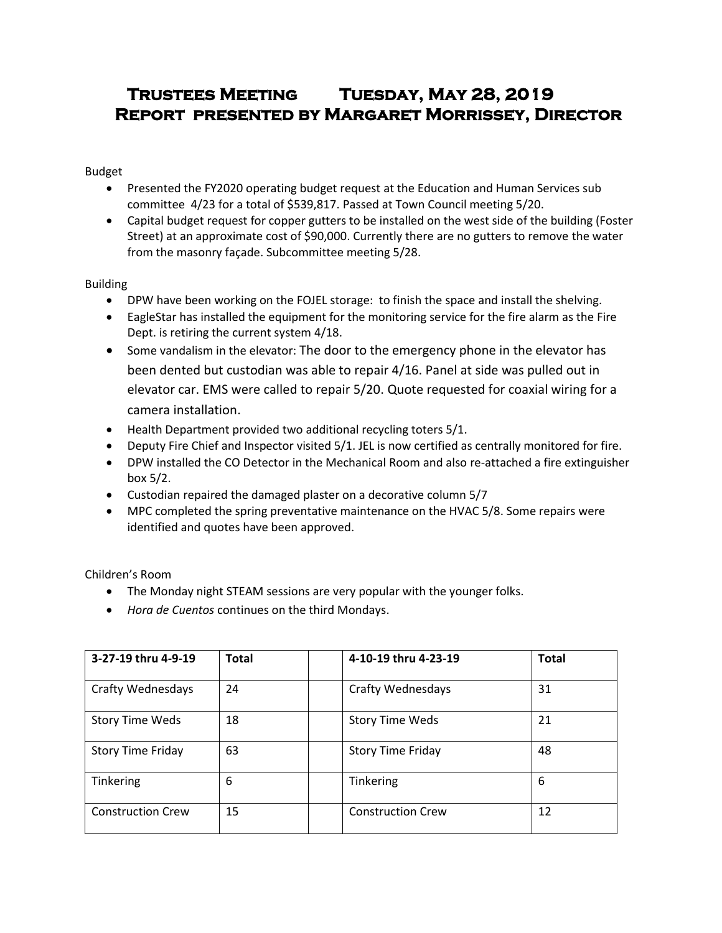# **Trustees Meeting Tuesday, May 28, 2019 Report presented by Margaret Morrissey, Director**

Budget

- Presented the FY2020 operating budget request at the Education and Human Services sub committee 4/23 for a total of \$539,817. Passed at Town Council meeting 5/20.
- Capital budget request for copper gutters to be installed on the west side of the building (Foster Street) at an approximate cost of \$90,000. Currently there are no gutters to remove the water from the masonry façade. Subcommittee meeting 5/28.

Building

- DPW have been working on the FOJEL storage: to finish the space and install the shelving.
- EagleStar has installed the equipment for the monitoring service for the fire alarm as the Fire Dept. is retiring the current system 4/18.
- Some vandalism in the elevator: The door to the emergency phone in the elevator has been dented but custodian was able to repair 4/16. Panel at side was pulled out in elevator car. EMS were called to repair 5/20. Quote requested for coaxial wiring for a camera installation.
- Health Department provided two additional recycling toters 5/1.
- Deputy Fire Chief and Inspector visited 5/1. JEL is now certified as centrally monitored for fire.
- DPW installed the CO Detector in the Mechanical Room and also re-attached a fire extinguisher box 5/2.
- Custodian repaired the damaged plaster on a decorative column 5/7
- MPC completed the spring preventative maintenance on the HVAC 5/8. Some repairs were identified and quotes have been approved.

Children's Room

- The Monday night STEAM sessions are very popular with the younger folks.
- *Hora de Cuentos* continues on the third Mondays.

| 3-27-19 thru 4-9-19      | <b>Total</b> | 4-10-19 thru 4-23-19     | <b>Total</b> |
|--------------------------|--------------|--------------------------|--------------|
| <b>Crafty Wednesdays</b> | 24           | <b>Crafty Wednesdays</b> | 31           |
| <b>Story Time Weds</b>   | 18           | <b>Story Time Weds</b>   | 21           |
| <b>Story Time Friday</b> | 63           | <b>Story Time Friday</b> | 48           |
| Tinkering                | 6            | Tinkering                | 6            |
| <b>Construction Crew</b> | 15           | <b>Construction Crew</b> | 12           |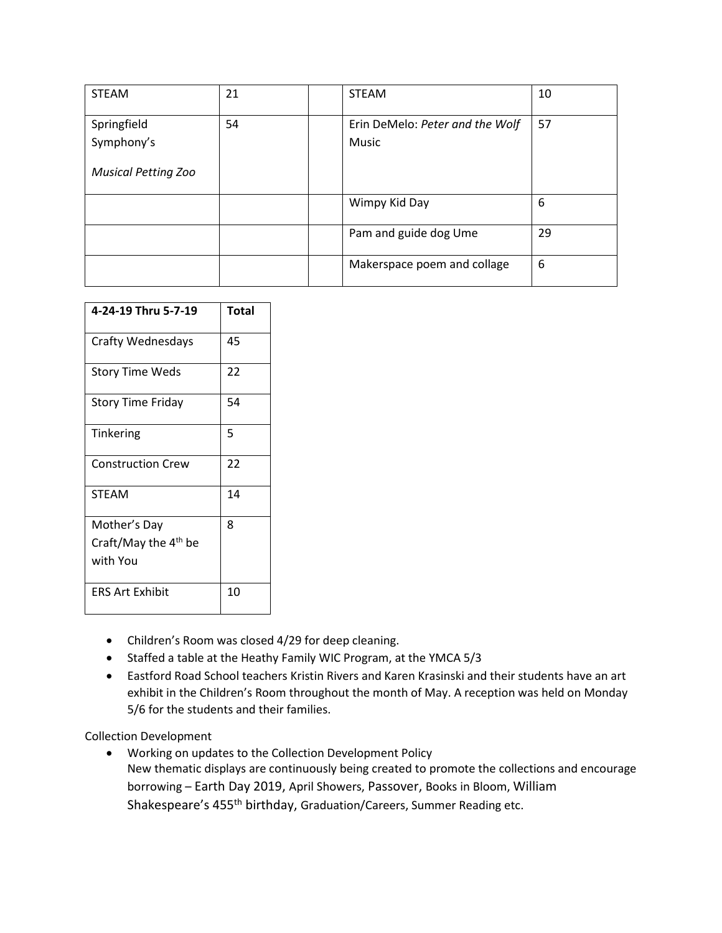| <b>STEAM</b>               | 21 | <b>STEAM</b>                             | 10 |
|----------------------------|----|------------------------------------------|----|
| Springfield<br>Symphony's  | 54 | Erin DeMelo: Peter and the Wolf<br>Music | 57 |
|                            |    |                                          |    |
| <b>Musical Petting Zoo</b> |    |                                          |    |
|                            |    | Wimpy Kid Day                            | 6  |
|                            |    | Pam and guide dog Ume                    | 29 |
|                            |    | Makerspace poem and collage              | 6  |

| 4-24-19 Thru 5-7-19              | Total |
|----------------------------------|-------|
| Crafty Wednesdays                | 45    |
| <b>Story Time Weds</b>           | 22    |
| <b>Story Time Friday</b>         | 54    |
| Tinkering                        | 5     |
| <b>Construction Crew</b>         | 22    |
| <b>STEAM</b>                     | 14    |
| Mother's Day                     | 8     |
| Craft/May the 4 <sup>th</sup> be |       |
| with You                         |       |
| <b>ERS Art Exhibit</b>           | 10    |

- Children's Room was closed 4/29 for deep cleaning.
- Staffed a table at the Heathy Family WIC Program, at the YMCA 5/3
- Eastford Road School teachers Kristin Rivers and Karen Krasinski and their students have an art exhibit in the Children's Room throughout the month of May. A reception was held on Monday 5/6 for the students and their families.

Collection Development

 Working on updates to the Collection Development Policy New thematic displays are continuously being created to promote the collections and encourage borrowing – Earth Day 2019, April Showers, Passover, Books in Bloom, William Shakespeare's 455th birthday, Graduation/Careers, Summer Reading etc.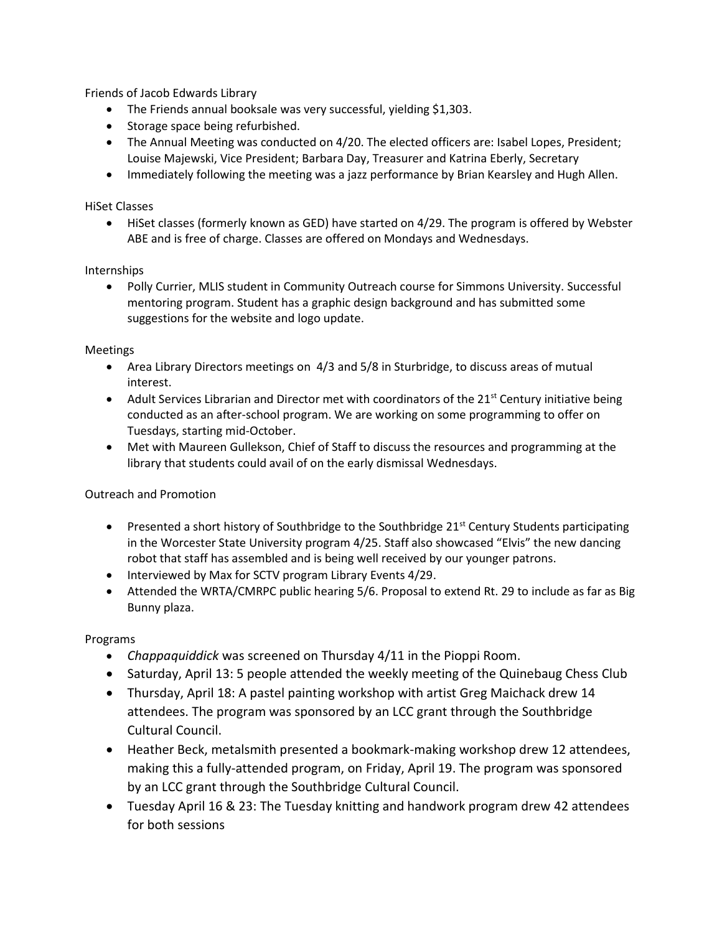Friends of Jacob Edwards Library

- The Friends annual booksale was very successful, yielding \$1,303.
- Storage space being refurbished.
- The Annual Meeting was conducted on 4/20. The elected officers are: Isabel Lopes, President; Louise Majewski, Vice President; Barbara Day, Treasurer and Katrina Eberly, Secretary
- Immediately following the meeting was a jazz performance by Brian Kearsley and Hugh Allen.

### HiSet Classes

 HiSet classes (formerly known as GED) have started on 4/29. The program is offered by Webster ABE and is free of charge. Classes are offered on Mondays and Wednesdays.

### Internships

 Polly Currier, MLIS student in Community Outreach course for Simmons University. Successful mentoring program. Student has a graphic design background and has submitted some suggestions for the website and logo update.

### Meetings

- Area Library Directors meetings on 4/3 and 5/8 in Sturbridge, to discuss areas of mutual interest.
- Adult Services Librarian and Director met with coordinators of the  $21<sup>st</sup>$  Century initiative being conducted as an after-school program. We are working on some programming to offer on Tuesdays, starting mid-October.
- Met with Maureen Gullekson, Chief of Staff to discuss the resources and programming at the library that students could avail of on the early dismissal Wednesdays.

## Outreach and Promotion

- **•** Presented a short history of Southbridge to the Southbridge  $21^{st}$  Century Students participating in the Worcester State University program 4/25. Staff also showcased "Elvis" the new dancing robot that staff has assembled and is being well received by our younger patrons.
- Interviewed by Max for SCTV program Library Events 4/29.
- Attended the WRTA/CMRPC public hearing 5/6. Proposal to extend Rt. 29 to include as far as Big Bunny plaza.

### Programs

- *Chappaquiddick* was screened on Thursday 4/11 in the Pioppi Room.
- Saturday, April 13: 5 people attended the weekly meeting of the Quinebaug Chess Club
- Thursday, April 18: A pastel painting workshop with artist Greg Maichack drew 14 attendees. The program was sponsored by an LCC grant through the Southbridge Cultural Council.
- Heather Beck, metalsmith presented a bookmark-making workshop drew 12 attendees, making this a fully-attended program, on Friday, April 19. The program was sponsored by an LCC grant through the Southbridge Cultural Council.
- Tuesday April 16 & 23: The Tuesday knitting and handwork program drew 42 attendees for both sessions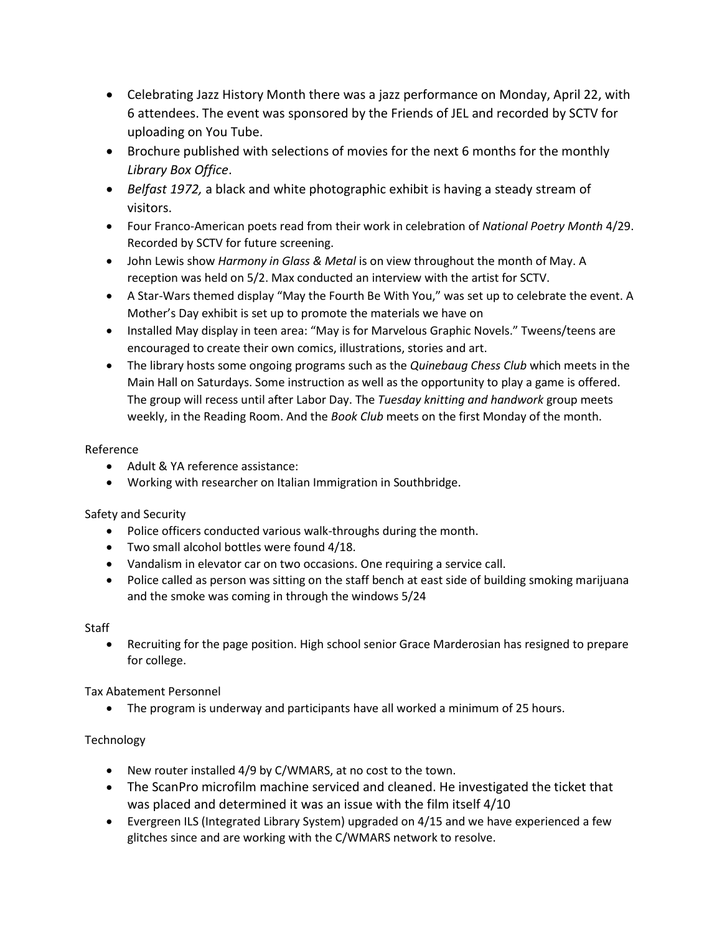- Celebrating Jazz History Month there was a jazz performance on Monday, April 22, with 6 attendees. The event was sponsored by the Friends of JEL and recorded by SCTV for uploading on You Tube.
- Brochure published with selections of movies for the next 6 months for the monthly *Library Box Office*.
- *Belfast 1972,* a black and white photographic exhibit is having a steady stream of visitors.
- Four Franco-American poets read from their work in celebration of *National Poetry Month* 4/29. Recorded by SCTV for future screening.
- John Lewis show *Harmony in Glass & Metal* is on view throughout the month of May. A reception was held on 5/2. Max conducted an interview with the artist for SCTV.
- A Star-Wars themed display "May the Fourth Be With You," was set up to celebrate the event. A Mother's Day exhibit is set up to promote the materials we have on
- Installed May display in teen area: "May is for Marvelous Graphic Novels." Tweens/teens are encouraged to create their own comics, illustrations, stories and art.
- The library hosts some ongoing programs such as the *Quinebaug Chess Club* which meets in the Main Hall on Saturdays. Some instruction as well as the opportunity to play a game is offered. The group will recess until after Labor Day. The *Tuesday knitting and handwork* group meets weekly, in the Reading Room. And the *Book Club* meets on the first Monday of the month.

## Reference

- Adult & YA reference assistance:
- Working with researcher on Italian Immigration in Southbridge.

# Safety and Security

- Police officers conducted various walk-throughs during the month.
- Two small alcohol bottles were found 4/18.
- Vandalism in elevator car on two occasions. One requiring a service call.
- Police called as person was sitting on the staff bench at east side of building smoking marijuana and the smoke was coming in through the windows 5/24

# **Staff**

 Recruiting for the page position. High school senior Grace Marderosian has resigned to prepare for college.

Tax Abatement Personnel

The program is underway and participants have all worked a minimum of 25 hours.

# **Technology**

- New router installed 4/9 by C/WMARS, at no cost to the town.
- The ScanPro microfilm machine serviced and cleaned. He investigated the ticket that was placed and determined it was an issue with the film itself 4/10
- Evergreen ILS (Integrated Library System) upgraded on 4/15 and we have experienced a few glitches since and are working with the C/WMARS network to resolve.